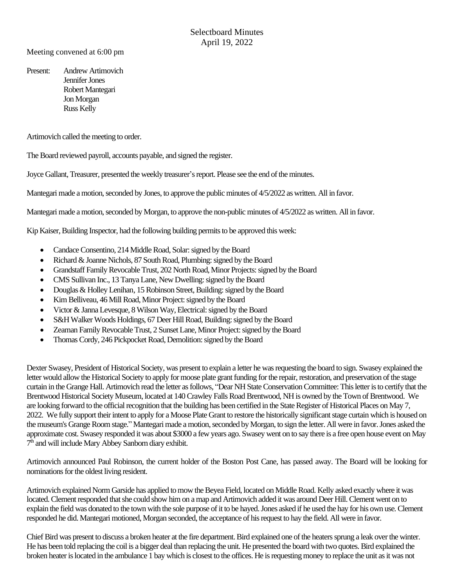Meeting convened at 6:00 pm

Present: Andrew Artimovich Jennifer Jones Robert Mantegari Jon Morgan Russ Kelly

Artimovich called the meeting to order.

The Board reviewed payroll, accounts payable, and signed the register.

Joyce Gallant, Treasurer, presented the weekly treasurer's report. Please see the end of theminutes.

Mantegari made a motion, seconded by Jones, to approve the public minutes of 4/5/2022 as written. All in favor.

Mantegari made a motion, seconded by Morgan, to approve the non-public minutes of 4/5/2022 as written. All in favor.

Kip Kaiser, Building Inspector, had the following building permits to be approved this week:

- Candace Consentino, 214 Middle Road, Solar: signed by the Board
- Richard & Joanne Nichols, 87 South Road, Plumbing: signed by the Board
- Grandstaff Family Revocable Trust, 202 North Road, Minor Projects: signed by the Board
- CMS Sullivan Inc., 13 Tanya Lane, New Dwelling: signed by the Board
- Douglas & Holley Lenihan, 15 Robinson Street, Building: signed by the Board
- Kim Belliveau, 46 Mill Road, Minor Project: signed by the Board
- Victor & Janna Levesque, 8 Wilson Way, Electrical: signed by the Board
- S&H Walker Woods Holdings, 67 Deer Hill Road, Building: signed by the Board
- Zeaman Family Revocable Trust, 2 Sunset Lane, Minor Project: signed by the Board
- Thomas Cordy, 246 Pickpocket Road, Demolition: signed by the Board

Dexter Swasey, President of Historical Society, was present to explain a letter he was requesting the board to sign. Swasey explained the letter would allow the Historical Society to apply for moose plate grant funding for the repair, restoration, and preservation of the stage curtain in the Grange Hall. Artimovich read the letter as follows, "Dear NH State Conservation Committee: This letter is to certify that the Brentwood Historical Society Museum, located at 140Crawley Falls Road Brentwood, NH is owned by the Town of Brentwood. We are looking forward to the official recognition that the building has been certified in the State Register of Historical Places on May 7, 2022. We fully support their intent to apply for a Moose Plate Grant to restore the historically significant stage curtain which is housed on the museum's Grange Room stage." Mantegari made a motion, seconded by Morgan, to sign the letter. All were in favor.Jones asked the approximate cost. Swasey responded it was about \$3000 a few years ago. Swasey went on to say there is a free open house event on May 7<sup>th</sup> and will include Mary Abbey Sanborn diary exhibit.

Artimovich announced Paul Robinson, the current holder of the Boston Post Cane, has passed away. The Board will be looking for nominations for the oldest living resident.

Artimovich explained Norm Garside has applied to mow the Beyea Field, located on Middle Road. Kelly asked exactly where it was located. Clement responded that she could show him on a map and Artimovich added it was around Deer Hill. Clement went on to explain the field was donated to the town with the sole purpose of it to be hayed. Jones asked if he used the hay for his own use. Clement responded he did. Mantegari motioned, Morgan seconded, the acceptance of his request to hay the field. All were in favor.

Chief Bird was present to discuss a broken heater at the fire department. Bird explained one of the heaters sprung a leak over the winter. He has been told replacing the coil is a bigger deal than replacing the unit. He presented the board with two quotes. Bird explained the broken heater is located in the ambulance 1 bay which is closest to the offices. He is requesting money to replace the unit as it was not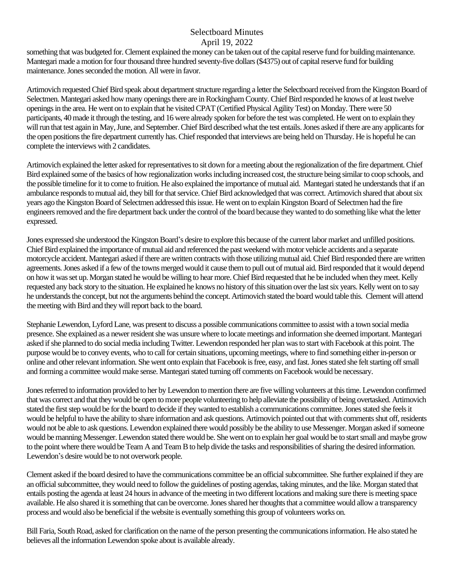something that was budgeted for. Clement explained the money can be taken out of the capital reserve fund for building maintenance. Mantegari made a motion for four thousand three hundred seventy-five dollars (\$4375) out of capital reserve fund for building maintenance.Jones seconded the motion. All were in favor.

Artimovich requested Chief Bird speak about department structure regarding a letter the Selectboard received from the Kingston Board of Selectmen. Mantegari asked how many openings there are in Rockingham County. Chief Bird responded he knows of at least twelve openings in the area. He went on to explain that he visited CPAT (Certified Physical Agility Test) on Monday. There were 50 participants, 40 made it through the testing, and 16 were already spoken for before the test was completed. He went on to explain they will run that test again in May, June, and September. Chief Bird described what the test entails. Jones asked if there are any applicants for the open positions the fire department currently has. Chief responded that interviews are being held on Thursday. He is hopeful he can complete the interviews with 2 candidates.

Artimovich explained the letter asked for representatives to sit down for a meeting about the regionalization of the fire department. Chief Bird explained some of the basics of how regionalization works including increased cost, the structure being similarto coop schools, and the possible timeline for it to come to fruition. He also explained the importance of mutual aid. Mantegari stated he understands that if an ambulance responds to mutual aid, they bill for that service. Chief Bird acknowledged that was correct. Artimovich shared that about six years ago the Kingston Board of Selectmen addressed thisissue. He went on to explain Kingston Board of Selectmen had the fire engineers removed and the fire department back under the control ofthe board because they wanted to do something like what the letter expressed.

Jones expressed she understood the Kingston Board's desire to explore this because of the current labor market and unfilled positions. Chief Bird explained the importance of mutual aid and referenced the past weekend with motor vehicle accidents and a separate motorcycle accident. Mantegari asked if there are written contracts with those utilizing mutual aid. Chief Bird responded there are written agreements.Jones asked if a few of the towns merged would it cause them to pull out of mutual aid. Bird responded that it would depend on how it was set up. Morgan stated he would be willing to hear more. Chief Bird requested that he be included when they meet. Kelly requested any back story to the situation. He explained he knows no history of this situation over the last six years. Kelly went on to say he understands the concept, but not the arguments behind the concept. Artimovich stated the board would table this. Clement will attend the meeting with Bird and they will report back to the board.

Stephanie Lewendon, Lyford Lane, was present to discuss a possible communications committee to assist with a town social media presence. She explained as a newer resident she was unsure where to locate meetings and information she deemed important. Mantegari asked if she planned to do social media including Twitter. Lewendon responded her plan was to start with Facebook at this point. The purpose would be to convey events, who to call for certain situations, upcoming meetings, where to find something either in-person or online and other relevant information. She went onto explain that Facebook is free, easy, and fast. Jones stated she felt starting off small and forming a committee would make sense. Mantegari stated turning off comments on Facebook would be necessary.

Jones referred to information provided to her by Lewendon to mention there are five willing volunteers at this time. Lewendon confirmed that was correct and that they would be open to more people volunteering to help alleviate the possibility of being overtasked. Artimovich stated the first step would be for the board to decide if they wanted to establish a communications committee. Jones stated she feels it would be helpful to have the ability to share information and ask questions. Artimovich pointed out that with comments shut off, residents would not be able to ask questions. Lewendon explained there would possibly be the ability to use Messenger. Morgan asked if someone would be manning Messenger. Lewendon stated there would be. She went on to explain her goal would be to start small and maybe grow to the point where there would be Team A and Team B to help divide the tasks and responsibilities of sharing the desired information. Lewendon's desire would be to not overwork people.

Clement asked if the board desired to have the communications committee be an official subcommittee. She further explained if they are an official subcommittee, they would need to follow the guidelines of posting agendas, taking minutes, and the like. Morgan stated that entails posting the agenda at least 24 hours in advance of the meeting in two different locations andmaking sure there is meeting space available. He also shared it is something that can be overcome. Jones shared her thoughts that a committee would allow a transparency process and would also be beneficial if the website is eventually something this group of volunteers works on.

Bill Faria, South Road, asked for clarification on the name of the person presenting the communications information. He also stated he believes all the information Lewendon spoke about is available already.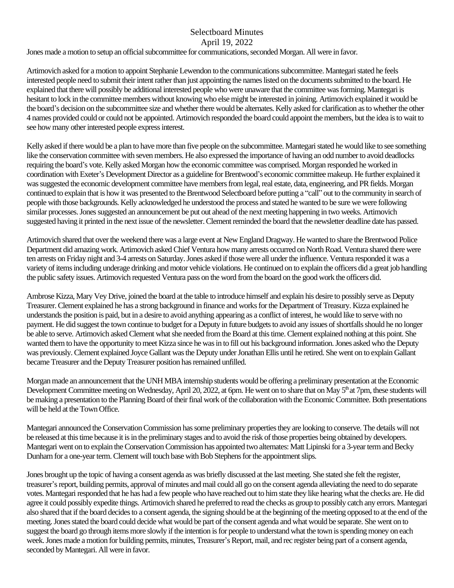Jones made a motion to setup an official subcommittee for communications, seconded Morgan. All were in favor.

Artimovich asked for a motion to appoint Stephanie Lewendon to the communications subcommittee. Mantegari stated he feels interested people need to submit their intent rather than just appointing the names listed on the documents submitted to the board. He explained that there will possibly be additional interested people who were unaware that the committee was forming. Mantegari is hesitant to lock in the committee members without knowing who else might be interested in joining. Artimovich explained it would be the board's decision on the subcommittee size and whether there would be alternates. Kelly asked for clarification as to whether the other 4 names provided could or could not be appointed. Artimovich responded the board could appoint the members, but the idea is to wait to see how many other interested people express interest.

Kelly asked if there would be a plan to have more than five people on the subcommittee. Mantegari stated he would like to see something like the conservation committee with seven members. He also expressed the importance of having an odd number to avoid deadlocks requiring the board's vote. Kelly asked Morgan how the economic committee was comprised. Morgan responded he worked in coordination with Exeter's Development Director as a guideline for Brentwood's economic committee makeup. He further explained it was suggested the economic development committee have members from legal, real estate, data, engineering, and PR fields. Morgan continued to explain that is how it was presented to the Brentwood Selectboard before putting a "call" out to the community in search of people with those backgrounds. Kelly acknowledged he understood the process and stated he wanted to be sure we were following similar processes.Jones suggested an announcement be put out ahead of the next meeting happening in two weeks. Artimovich suggested having it printed in the next issue of the newsletter. Clement reminded the board that the newsletter deadline date has passed.

Artimovich shared that over the weekend there was a large event at New England Dragway. He wanted to share the Brentwood Police Department did amazing work. Artimovich askedChief Ventura how many arrests occurred on North Road. Ventura shared there were ten arrests on Friday night and 3-4 arrests on Saturday. Jones asked if those were all under the influence. Ventura responded it was a variety ofitems including underage drinking and motor vehicle violations. He continued on to explain the officers did a great job handling the public safety issues. Artimovich requested Ventura pass on the word from the board on the good work the officers did.

Ambrose Kizza, Mary Vey Drive, joined the board at the table to introduce himself and explain his desire to possibly serve as Deputy Treasurer. Clement explained he has a strong background in finance and works for the Department of Treasury. Kizza explained he understands the position is paid, but in a desire to avoid anything appearing as a conflict of interest, he would like to serve with no payment. He did suggest the town continue to budget for a Deputy in future budgets to avoid any issues of shortfalls should he no longer be able to serve. Artimovich asked Clement what she needed from the Board at this time. Clement explained nothing at this point. She wanted them to have the opportunity to meet Kizza since he was in to fill out his background information. Jones asked who the Deputy was previously. Clement explained Joyce Gallant was the Deputy under Jonathan Ellis until he retired. She went on to explain Gallant became Treasurer and the Deputy Treasurer position has remained unfilled.

Morgan made an announcement that the UNH MBA internship students would be offering a preliminary presentation at the Economic Development Committee meeting on Wednesday, April 20, 2022, at 6pm. He went on to share that on May 5<sup>th</sup> at 7pm, these students will be making a presentation to the Planning Board of their final work of the collaboration with the Economic Committee. Both presentations will be held at the Town Office.

Mantegari announced the Conservation Commission has some preliminary properties they are looking to conserve. The details will not be released at this time because it is in the preliminary stages and to avoid the risk of those properties being obtained by developers. Mantegari went on to explain the Conservation Commission has appointed two alternates: Matt Lipinski for a 3-yearterm and Becky Dunham for a one-year term. Clement will touch base with Bob Stephens for the appointment slips.

Jones brought up the topic of having a consent agenda as was briefly discussed at the last meeting. She stated she felt the register, treasurer's report, building permits, approval of minutes and mail could all go on the consent agenda alleviating the need to do separate votes. Mantegari responded that he has had a few people who have reached out to him state they like hearing what the checks are. He did agree it could possibly expedite things. Artimovich shared he preferred to read the checks as group to possibly catch any errors. Mantegari also shared that if the board decides to a consent agenda, the signing should be at the beginning of the meeting opposed to at the end ofthe meeting. Jones stated the board could decide what would be part of the consent agenda and what would be separate. She went on to suggest the board go through items more slowly if the intention is for people to understand what the town is spending money on each week. Jones made a motion for building permits, minutes, Treasurer's Report, mail, and rec register being part of a consent agenda, seconded by Mantegari. All were in favor.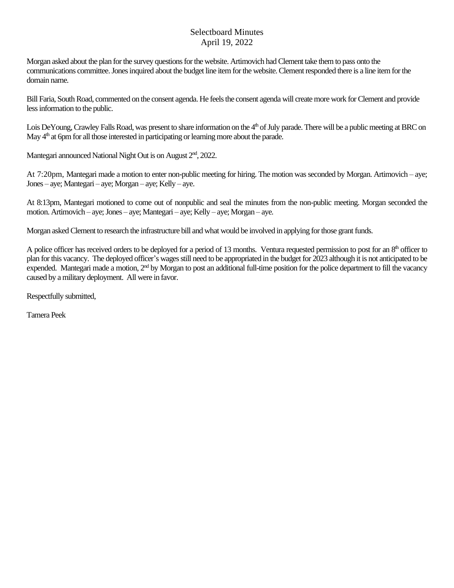Morgan asked about the plan for the survey questions for the website. Artimovich had Clement take them to pass onto the communications committee. Jones inquired about the budget line item for the website. Clement responded there is a line item for the domain name.

Bill Faria, South Road, commented on the consent agenda. He feels the consent agenda will create more work for Clement and provide less information to the public.

Lois DeYoung, Crawley Falls Road, was present to share information on the 4<sup>th</sup> of July parade. There will be a public meeting at BRC on May 4<sup>th</sup> at 6pm for all those interested in participating or learning more about the parade.

Mantegari announced National Night Out is on August 2<sup>nd</sup>, 2022.

At 7:20pm, Mantegari made a motion to enter non-public meeting for hiring. The motion was seconded by Morgan. Artimovich – aye; Jones – aye; Mantegari – aye; Morgan – aye; Kelly – aye.

At 8:13pm, Mantegari motioned to come out of nonpublic and seal the minutes from the non-public meeting. Morgan seconded the motion. Artimovich – aye; Jones – aye; Mantegari – aye; Kelly – aye; Morgan – aye.

Morgan asked Clement to research the infrastructure bill and what would be involved in applying for those grant funds.

A police officer has received orders to be deployed for a period of 13 months. Ventura requested permission to post for an 8<sup>th</sup> officer to plan for this vacancy. The deployed officer's wages still need to be appropriated in the budget for 2023 although it is not anticipated to be expended. Mantegari made a motion, 2<sup>nd</sup> by Morgan to post an additional full-time position for the police department to fill the vacancy caused by a military deployment. All were in favor.

Respectfully submitted,

Tamera Peek